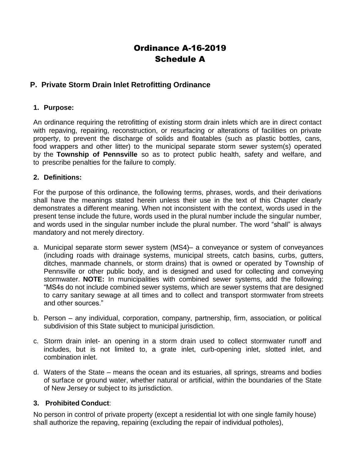# Ordinance A-16-2019 Schedule A

## **P. Private Storm Drain Inlet Retrofitting Ordinance**

## **1. Purpose:**

An ordinance requiring the retrofitting of existing storm drain inlets which are in direct contact with repaving, repairing, reconstruction, or resurfacing or alterations of facilities on private property, to prevent the discharge of solids and floatables (such as plastic bottles, cans, food wrappers and other litter) to the municipal separate storm sewer system(s) operated by the **Township of Pennsville** so as to protect public health, safety and welfare, and to prescribe penalties for the failure to comply.

#### **2. Definitions:**

For the purpose of this ordinance, the following terms, phrases, words, and their derivations shall have the meanings stated herein unless their use in the text of this Chapter clearly demonstrates a different meaning. When not inconsistent with the context, words used in the present tense include the future, words used in the plural number include the singular number, and words used in the singular number include the plural number. The word "shall" is always mandatory and not merely directory.

- a. Municipal separate storm sewer system (MS4)– a conveyance or system of conveyances (including roads with drainage systems, municipal streets, catch basins, curbs, gutters, ditches, manmade channels, or storm drains) that is owned or operated by Township of Pennsville or other public body, and is designed and used for collecting and conveying stormwater. **NOTE:** In municipalities with combined sewer systems, add the following: "MS4s do not include combined sewer systems, which are sewer systems that are designed to carry sanitary sewage at all times and to collect and transport stormwater from streets and other sources."
- b. Person any individual, corporation, company, partnership, firm, association, or political subdivision of this State subject to municipal jurisdiction.
- c. Storm drain inlet- an opening in a storm drain used to collect stormwater runoff and includes, but is not limited to, a grate inlet, curb-opening inlet, slotted inlet, and combination inlet.
- d. Waters of the State means the ocean and its estuaries, all springs, streams and bodies of surface or ground water, whether natural or artificial, within the boundaries of the State of New Jersey or subject to its jurisdiction.

## **3. Prohibited Conduct**:

No person in control of private property (except a residential lot with one single family house) shall authorize the repaving, repairing (excluding the repair of individual potholes),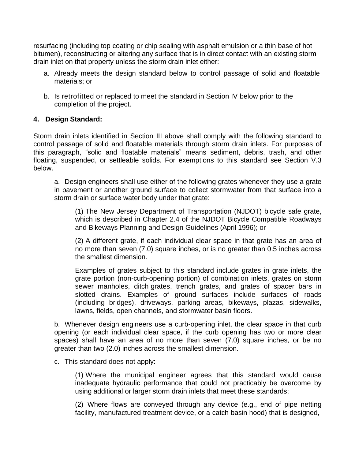resurfacing (including top coating or chip sealing with asphalt emulsion or a thin base of hot bitumen), reconstructing or altering any surface that is in direct contact with an existing storm drain inlet on that property unless the storm drain inlet either:

- a. Already meets the design standard below to control passage of solid and floatable materials; or
- b. Is retrofitted or replaced to meet the standard in Section IV below prior to the completion of the project.

## **4. Design Standard:**

Storm drain inlets identified in Section III above shall comply with the following standard to control passage of solid and floatable materials through storm drain inlets. For purposes of this paragraph, "solid and floatable materials" means sediment, debris, trash, and other floating, suspended, or settleable solids. For exemptions to this standard see Section V.3 below.

a. Design engineers shall use either of the following grates whenever they use a grate in pavement or another ground surface to collect stormwater from that surface into a storm drain or surface water body under that grate:

(1) The New Jersey Department of Transportation (NJDOT) bicycle safe grate, which is described in Chapter 2.4 of the NJDOT Bicycle Compatible Roadways and Bikeways Planning and Design Guidelines (April 1996); or

(2) A different grate, if each individual clear space in that grate has an area of no more than seven (7.0) square inches, or is no greater than 0.5 inches across the smallest dimension.

Examples of grates subject to this standard include grates in grate inlets, the grate portion (non-curb-opening portion) of combination inlets, grates on storm sewer manholes, ditch grates, trench grates, and grates of spacer bars in slotted drains. Examples of ground surfaces include surfaces of roads (including bridges), driveways, parking areas, bikeways, plazas, sidewalks, lawns, fields, open channels, and stormwater basin floors.

b. Whenever design engineers use a curb-opening inlet, the clear space in that curb opening (or each individual clear space, if the curb opening has two or more clear spaces) shall have an area of no more than seven (7.0) square inches, or be no greater than two (2.0) inches across the smallest dimension.

c. This standard does not apply:

(1) Where the municipal engineer agrees that this standard would cause inadequate hydraulic performance that could not practicably be overcome by using additional or larger storm drain inlets that meet these standards;

(2) Where flows are conveyed through any device (e.g., end of pipe netting facility, manufactured treatment device, or a catch basin hood) that is designed,